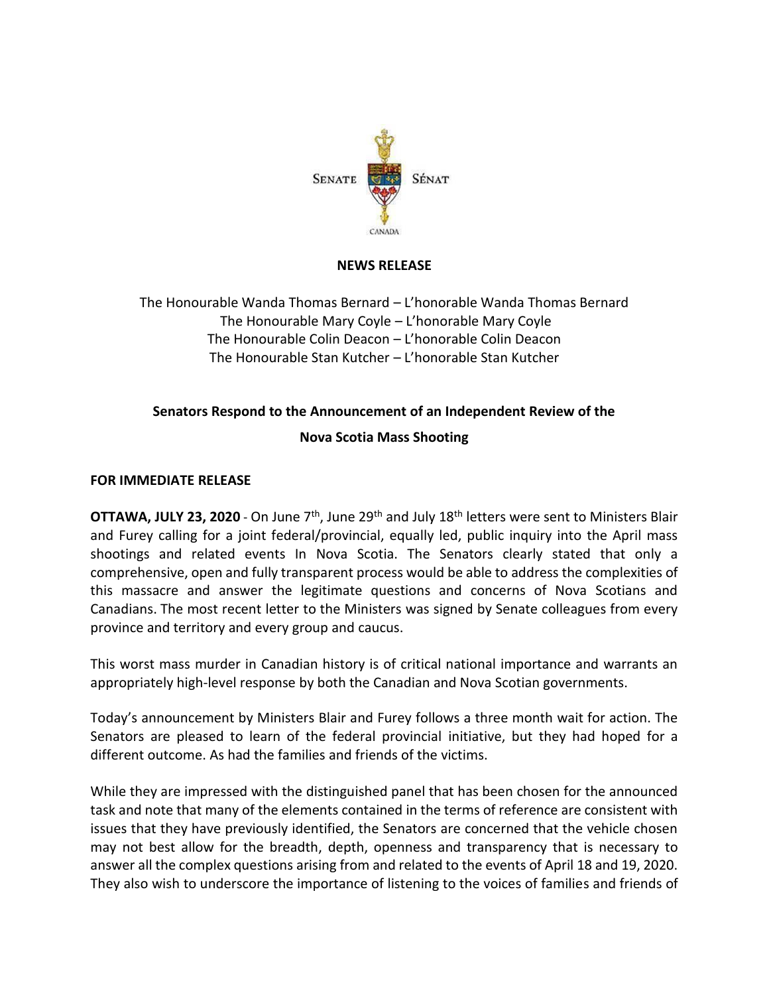

## **NEWS RELEASE**

The Honourable Wanda Thomas Bernard – L'honorable Wanda Thomas Bernard The Honourable Mary Coyle – L'honorable Mary Coyle The Honourable Colin Deacon – L'honorable Colin Deacon The Honourable Stan Kutcher – L'honorable Stan Kutcher

## **Senators Respond to the Announcement of an Independent Review of the Nova Scotia Mass Shooting**

## **FOR IMMEDIATE RELEASE**

**OTTAWA, JULY 23, 2020** - On June 7<sup>th</sup>, June 29<sup>th</sup> and July 18<sup>th</sup> letters were sent to Ministers Blair and Furey calling for a joint federal/provincial, equally led, public inquiry into the April mass shootings and related events In Nova Scotia. The Senators clearly stated that only a comprehensive, open and fully transparent process would be able to address the complexities of this massacre and answer the legitimate questions and concerns of Nova Scotians and Canadians. The most recent letter to the Ministers was signed by Senate colleagues from every province and territory and every group and caucus.

This worst mass murder in Canadian history is of critical national importance and warrants an appropriately high-level response by both the Canadian and Nova Scotian governments.

Today's announcement by Ministers Blair and Furey follows a three month wait for action. The Senators are pleased to learn of the federal provincial initiative, but they had hoped for a different outcome. As had the families and friends of the victims.

While they are impressed with the distinguished panel that has been chosen for the announced task and note that many of the elements contained in the terms of reference are consistent with issues that they have previously identified, the Senators are concerned that the vehicle chosen may not best allow for the breadth, depth, openness and transparency that is necessary to answer all the complex questions arising from and related to the events of April 18 and 19, 2020. They also wish to underscore the importance of listening to the voices of families and friends of